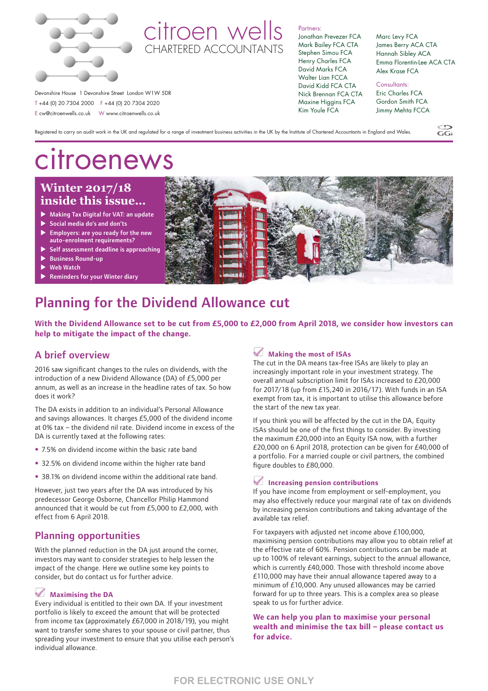

# citroen wells CHARTERED ACCOUNTANTS

#### Partners:

Jonathan Prevezer FCA Mark Bailey FCA CTA Stephen Simou FCA Henry Charles FCA David Marks FCA Walter Lian FCCA David Kidd FCA CTA Nick Brennan FCA CTA Maxine Higgins FCA Kim Youle FCA

Marc Levy FCA James Berry ACA CTA Hannah Sibley ACA Emma Florentin-Lee ACA CTA Alex Krase FCA

 $CC$ 

Consultants: Eric Charles FCA Gordon Smith FCA Jimmy Mehta FCCA

Registered to carry on audit work in the UK and regulated for a range of investment business activities in the UK by the Institute of Chartered Accountants in England and Wales.

# citroenews

Devonshire House 1 Devonshire Street London W1W 5DR T +44 (0) 20 7304 2000 F +44 (0) 20 7304 2020 E cw@citroenwells.co.uk W www.citroenwells.co.uk

# **Winter 2017/18 inside this issue…**

- Making Tax Digital for VAT: an update
- $\triangleright$  Social media do's and don'ts
- $\blacktriangleright$  Employers: are you ready for the new auto-enrolment requirements?
- Self assessment deadline is approaching
- **Business Round-up**
- **Web Watch**
- **Reminders for your Winter diary**



# Planning for the Dividend Allowance cut

**With the Dividend Allowance set to be cut from £5,000 to £2,000 from April 2018, we consider how investors can help to mitigate the impact of the change.**

## A brief overview

2016 saw significant changes to the rules on dividends, with the introduction of a new Dividend Allowance (DA) of £5,000 per annum, as well as an increase in the headline rates of tax. So how does it work?

The DA exists in addition to an individual's Personal Allowance and savings allowances. It charges £5,000 of the dividend income at 0% tax – the dividend nil rate. Dividend income in excess of the DA is currently taxed at the following rates:

- 7.5% on dividend income within the basic rate band
- 32.5% on dividend income within the higher rate band
- 38.1% on dividend income within the additional rate band.

However, just two years after the DA was introduced by his predecessor George Osborne, Chancellor Philip Hammond announced that it would be cut from £5,000 to £2,000, with effect from 6 April 2018.

### Planning opportunities

With the planned reduction in the DA just around the corner, investors may want to consider strategies to help lessen the impact of the change. Here we outline some key points to consider, but do contact us for further advice.

#### **Maximising the DA**

Every individual is entitled to their own DA. If your investment portfolio is likely to exceed the amount that will be protected from income tax (approximately £67,000 in 2018/19), you might want to transfer some shares to your spouse or civil partner, thus spreading your investment to ensure that you utilise each person's individual allowance.

#### **Making the most of ISAs**

The cut in the DA means tax-free ISAs are likely to play an increasingly important role in your investment strategy. The overall annual subscription limit for ISAs increased to £20,000 for 2017/18 (up from £15,240 in 2016/17). With funds in an ISA exempt from tax, it is important to utilise this allowance before the start of the new tax year.

If you think you will be affected by the cut in the DA, Equity ISAs should be one of the first things to consider. By investing the maximum £20,000 into an Equity ISA now, with a further £20,000 on 6 April 2018, protection can be given for £40,000 of a portfolio. For a married couple or civil partners, the combined figure doubles to £80,000.

#### **Increasing pension contributions**

If you have income from employment or self-employment, you may also effectively reduce your marginal rate of tax on dividends by increasing pension contributions and taking advantage of the available tax relief.

For taxpayers with adjusted net income above £100,000, maximising pension contributions may allow you to obtain relief at the effective rate of 60%. Pension contributions can be made at up to 100% of relevant earnings, subject to the annual allowance, which is currently £40,000. Those with threshold income above £110,000 may have their annual allowance tapered away to a minimum of £10,000. Any unused allowances may be carried forward for up to three years. This is a complex area so please speak to us for further advice.

**We can help you plan to maximise your personal wealth and minimise the tax bill – please contact us for advice.**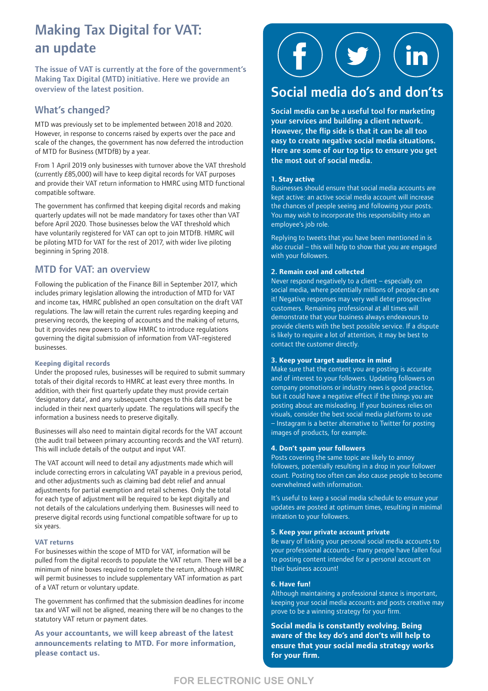# Making Tax Digital for VAT: an update

The issue of VAT is currently at the fore of the government's Making Tax Digital (MTD) initiative. Here we provide an overview of the latest position.

## What's changed?

MTD was previously set to be implemented between 2018 and 2020. However, in response to concerns raised by experts over the pace and scale of the changes, the government has now deferred the introduction of MTD for Business (MTDfB) by a year.

From 1 April 2019 only businesses with turnover above the VAT threshold (currently £85,000) will have to keep digital records for VAT purposes and provide their VAT return information to HMRC using MTD functional compatible software.

The government has confirmed that keeping digital records and making quarterly updates will not be made mandatory for taxes other than VAT before April 2020. Those businesses below the VAT threshold which have voluntarily registered for VAT can opt to join MTDfB. HMRC will be piloting MTD for VAT for the rest of 2017, with wider live piloting beginning in Spring 2018.

## MTD for VAT: an overview

Following the publication of the Finance Bill in September 2017, which includes primary legislation allowing the introduction of MTD for VAT and income tax, HMRC published an open consultation on the draft VAT regulations. The law will retain the current rules regarding keeping and preserving records, the keeping of accounts and the making of returns, but it provides new powers to allow HMRC to introduce regulations governing the digital submission of information from VAT-registered businesses.

#### **Keeping digital records**

Under the proposed rules, businesses will be required to submit summary totals of their digital records to HMRC at least every three months. In addition, with their first quarterly update they must provide certain 'designatory data', and any subsequent changes to this data must be included in their next quarterly update. The regulations will specify the information a business needs to preserve digitally.

Businesses will also need to maintain digital records for the VAT account (the audit trail between primary accounting records and the VAT return). This will include details of the output and input VAT.

The VAT account will need to detail any adjustments made which will include correcting errors in calculating VAT payable in a previous period, and other adjustments such as claiming bad debt relief and annual adjustments for partial exemption and retail schemes. Only the total for each type of adjustment will be required to be kept digitally and not details of the calculations underlying them. Businesses will need to preserve digital records using functional compatible software for up to six years.

#### **VAT returns**

For businesses within the scope of MTD for VAT, information will be pulled from the digital records to populate the VAT return. There will be a minimum of nine boxes required to complete the return, although HMRC will permit businesses to include supplementary VAT information as part of a VAT return or voluntary update.

The government has confirmed that the submission deadlines for income tax and VAT will not be aligned, meaning there will be no changes to the statutory VAT return or payment dates.

**As your accountants, we will keep abreast of the latest announcements relating to MTD. For more information, please contact us.**



# Social media do's and don'ts

Social media can be a useful tool for marketing your services and building a client network. However, the flip side is that it can be all too easy to create negative social media situations. Here are some of our top tips to ensure you get the most out of social media.

#### **1. Stay active**

Businesses should ensure that social media accounts are kept active: an active social media account will increase the chances of people seeing and following your posts. You may wish to incorporate this responsibility into an employee's job role.

Replying to tweets that you have been mentioned in is also crucial – this will help to show that you are engaged with your followers.

#### **2. Remain cool and collected**

Never respond negatively to a client – especially on social media, where potentially millions of people can see it! Negative responses may very well deter prospective customers. Remaining professional at all times will demonstrate that your business always endeavours to provide clients with the best possible service. If a dispute is likely to require a lot of attention, it may be best to contact the customer directly.

#### **3. Keep your target audience in mind**

Make sure that the content you are posting is accurate and of interest to your followers. Updating followers on company promotions or industry news is good practice, but it could have a negative effect if the things you are posting about are misleading. If your business relies on visuals, consider the best social media platforms to use – Instagram is a better alternative to Twitter for posting images of products, for example.

#### **4. Don't spam your followers**

Posts covering the same topic are likely to annoy followers, potentially resulting in a drop in your follower count. Posting too often can also cause people to become overwhelmed with information.

It's useful to keep a social media schedule to ensure your updates are posted at optimum times, resulting in minimal irritation to your followers.

#### **5. Keep your private account private**

Be wary of linking your personal social media accounts to your professional accounts – many people have fallen foul to posting content intended for a personal account on their business account!

#### **6. Have fun!**

Although maintaining a professional stance is important, keeping your social media accounts and posts creative may prove to be a winning strategy for your firm.

**Social media is constantly evolving. Being aware of the key do's and don'ts will help to ensure that your social media strategy works for your firm.**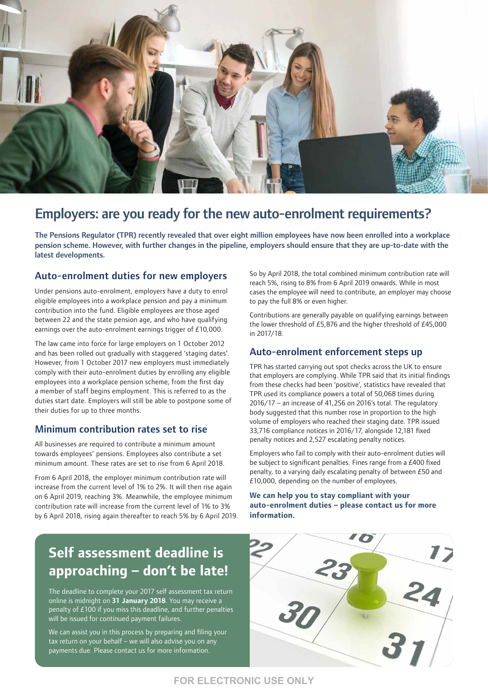

# Employers: are you ready for the new auto-enrolment requirements?

The Pensions Regulator (TPR) recently revealed that over eight million employees have now been enrolled into a workplace pension scheme. However, with further changes in the pipeline, employers should ensure that they are up-to-date with the latest developments.

### Auto-enrolment duties for new employers

Under pensions auto-enrolment, employers have a duty to enrol eligible employees into a workplace pension and pay a minimum contribution into the fund. Eligible employees are those aged between 22 and the state pension age, and who have qualifying earnings over the auto-enrolment earnings trigger of £10,000.

The law came into force for large employers on 1 October 2012 and has been rolled out gradually with staggered 'staging dates'. However, from 1 October 2017 new employers must immediately comply with their auto-enrolment duties by enrolling any eligible employees into a workplace pension scheme, from the first day a member of staff begins employment. This is referred to as the duties start date. Employers will still be able to postpone some of their duties for up to three months.

### Minimum contribution rates set to rise

All businesses are required to contribute a minimum amount towards employees' pensions. Employees also contribute a set minimum amount. These rates are set to rise from 6 April 2018.

From 6 April 2018, the employer minimum contribution rate will increase from the current level of 1% to 2%. It will then rise again on 6 April 2019, reaching 3%. Meanwhile, the employee minimum contribution rate will increase from the current level of 1% to 3% by 6 April 2018, rising again thereafter to reach 5% by 6 April 2019. So by April 2018, the total combined minimum contribution rate will reach 5%, rising to 8% from 6 April 2019 onwards. While in most cases the employee will need to contribute, an employer may choose to pay the full 8% or even higher.

Contributions are generally payable on qualifying earnings between the lower threshold of £5,876 and the higher threshold of £45,000 in 2017/18.

### Auto-enrolment enforcement steps up

TPR has started carrying out spot checks across the UK to ensure that employers are complying. While TPR said that its initial findings from these checks had been 'positive', statistics have revealed that TPR used its compliance powers a total of 50,068 times during 2016/17 – an increase of 41,256 on 2016's total. The regulatory body suggested that this number rose in proportion to the high volume of employers who reached their staging date. TPR issued 33,716 compliance notices in 2016/17, alongside 12,181 fixed penalty notices and 2,527 escalating penalty notices.

Employers who fail to comply with their auto-enrolment duties will be subject to significant penalties. Fines range from a £400 fixed penalty, to a varying daily escalating penalty of between £50 and £10,000, depending on the number of employees.

#### **We can help you to stay compliant with your auto-enrolment duties – please contact us for more information.**

# **Self assessment deadline is approaching – don't be late!**

The deadline to complete your 2017 self assessment tax return online is midnight on **31 January 2018**. You may receive a penalty of £100 if you miss this deadline, and further penalties will be issued for continued payment failures.

We can assist you in this process by preparing and filing your tax return on your behalf – we will also advise you on any payments due. Please contact us for more information.